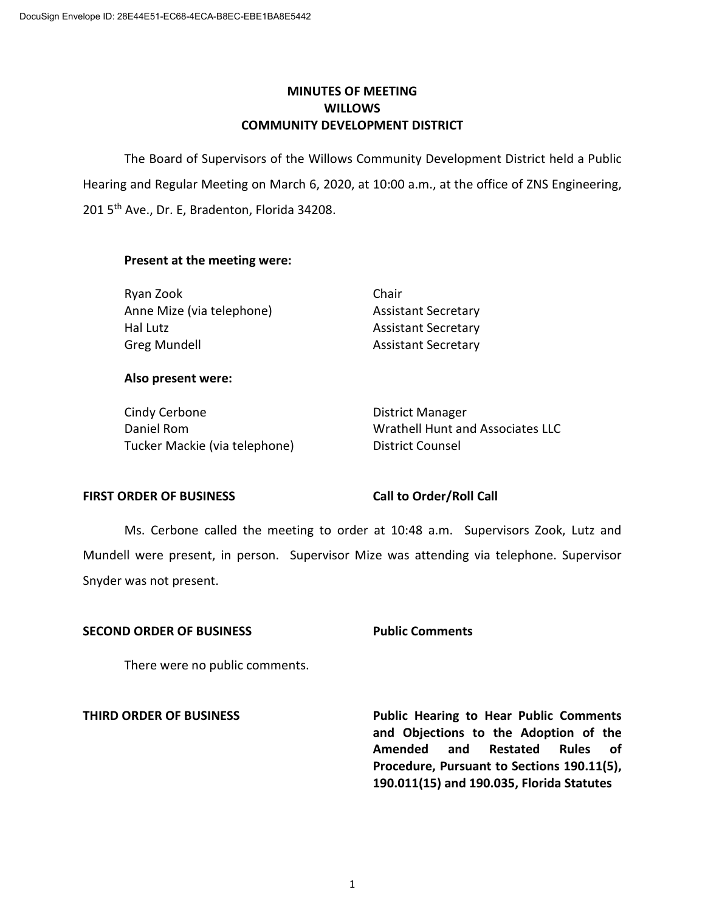# **MINUTES OF MEETING WILLOWS COMMUNITY DEVELOPMENT DISTRICT**

The Board of Supervisors of the Willows Community Development District held a Public Hearing and Regular Meeting on March 6, 2020, at 10:00 a.m., at the office of ZNS Engineering, 201 5<sup>th</sup> Ave., Dr. E, Bradenton, Florida 34208.

### **Present at the meeting were:**

| Ryan Zook                 | Chair                      |
|---------------------------|----------------------------|
| Anne Mize (via telephone) | <b>Assistant Secretary</b> |
| Hal Lutz                  | <b>Assistant Secretary</b> |
| Greg Mundell              | <b>Assistant Secretary</b> |

### **Also present were:**

Cindy Cerbone **District Manager** Tucker Mackie (via telephone) District Counsel

Daniel Rom Wrathell Hunt and Associates LLC

## **FIRST ORDER OF BUSINESS Call to Order/Roll Call**

Ms. Cerbone called the meeting to order at 10:48 a.m. Supervisors Zook, Lutz and Mundell were present, in person. Supervisor Mize was attending via telephone. Supervisor Snyder was not present.

### **SECOND ORDER OF BUSINESS Public Comments**

There were no public comments.

**THIRD ORDER OF BUSINESS Public Hearing to Hear Public Comments and Objections to the Adoption of the Amended and Restated Rules of Procedure, Pursuant to Sections 190.11(5), 190.011(15) and 190.035, Florida Statutes**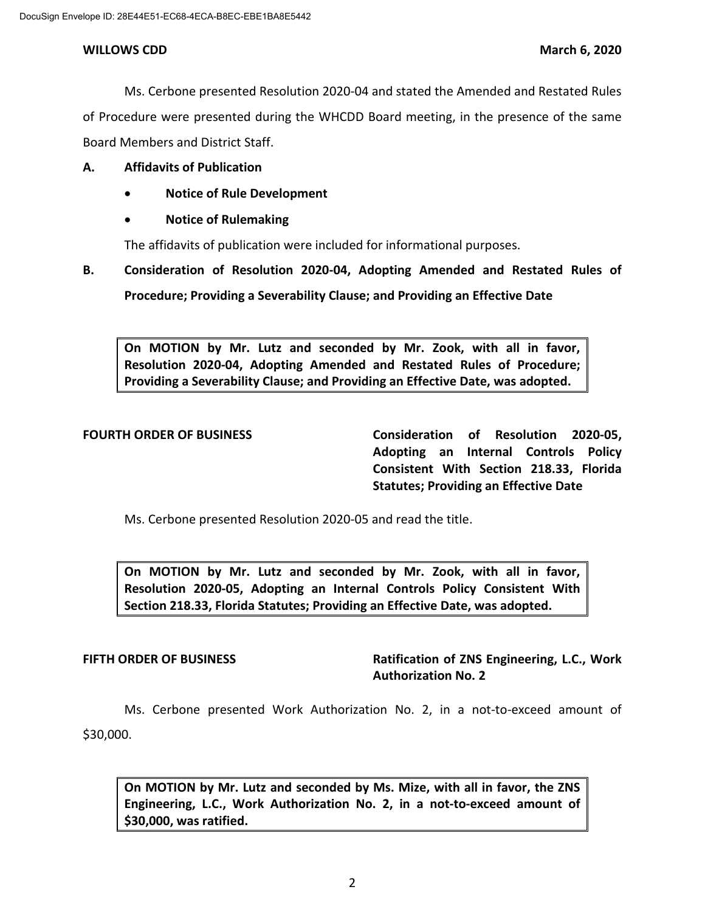### **WILLOWS CDD March 6, 2020**

Ms. Cerbone presented Resolution 2020-04 and stated the Amended and Restated Rules of Procedure were presented during the WHCDD Board meeting, in the presence of the same Board Members and District Staff.

## **A. Affidavits of Publication**

- **Notice of Rule Development**
- **Notice of Rulemaking**

The affidavits of publication were included for informational purposes.

**B. Consideration of Resolution 2020-04, Adopting Amended and Restated Rules of Procedure; Providing a Severability Clause; and Providing an Effective Date**

**On MOTION by Mr. Lutz and seconded by Mr. Zook, with all in favor, Resolution 2020-04, Adopting Amended and Restated Rules of Procedure; Providing a Severability Clause; and Providing an Effective Date, was adopted.** 

**FOURTH ORDER OF BUSINESS Consideration of Resolution 2020-05, Adopting an Internal Controls Policy Consistent With Section 218.33, Florida Statutes; Providing an Effective Date**

Ms. Cerbone presented Resolution 2020-05 and read the title.

**On MOTION by Mr. Lutz and seconded by Mr. Zook, with all in favor, Resolution 2020-05, Adopting an Internal Controls Policy Consistent With Section 218.33, Florida Statutes; Providing an Effective Date, was adopted.**

# **FIFTH ORDER OF BUSINESS Ratification of ZNS Engineering, L.C., Work Authorization No. 2**

Ms. Cerbone presented Work Authorization No. 2, in a not-to-exceed amount of \$30,000.

**On MOTION by Mr. Lutz and seconded by Ms. Mize, with all in favor, the ZNS Engineering, L.C., Work Authorization No. 2, in a not-to-exceed amount of \$30,000, was ratified.**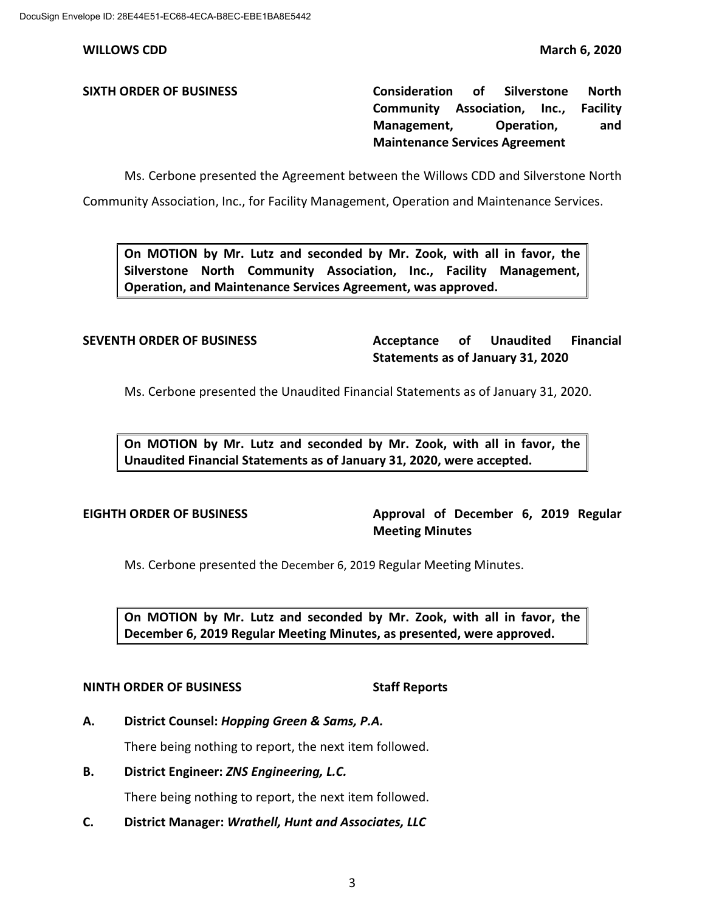**WILLOWS CDD March 6, 2020**

**SIXTH ORDER OF BUSINESS Consideration of Silverstone North Community Association, Inc., Facility Management, Operation, and Maintenance Services Agreement** 

Ms. Cerbone presented the Agreement between the Willows CDD and Silverstone North

Community Association, Inc., for Facility Management, Operation and Maintenance Services.

**On MOTION by Mr. Lutz and seconded by Mr. Zook, with all in favor, the Silverstone North Community Association, Inc., Facility Management, Operation, and Maintenance Services Agreement, was approved.**

**SEVENTH ORDER OF BUSINESS Acceptance of Unaudited Financial Statements as of January 31, 2020**

Ms. Cerbone presented the Unaudited Financial Statements as of January 31, 2020.

**On MOTION by Mr. Lutz and seconded by Mr. Zook, with all in favor, the Unaudited Financial Statements as of January 31, 2020, were accepted.** 

**EIGHTH ORDER OF BUSINESS Approval of December 6, 2019 Regular Meeting Minutes**

Ms. Cerbone presented the December 6, 2019 Regular Meeting Minutes.

**On MOTION by Mr. Lutz and seconded by Mr. Zook, with all in favor, the December 6, 2019 Regular Meeting Minutes, as presented, were approved.**

### **NINTH ORDER OF BUSINESS Staff Reports**

**A. District Counsel:** *Hopping Green & Sams, P.A.*

There being nothing to report, the next item followed.

**B. District Engineer:** *ZNS Engineering, L.C.*

There being nothing to report, the next item followed.

**C. District Manager:** *Wrathell, Hunt and Associates, LLC*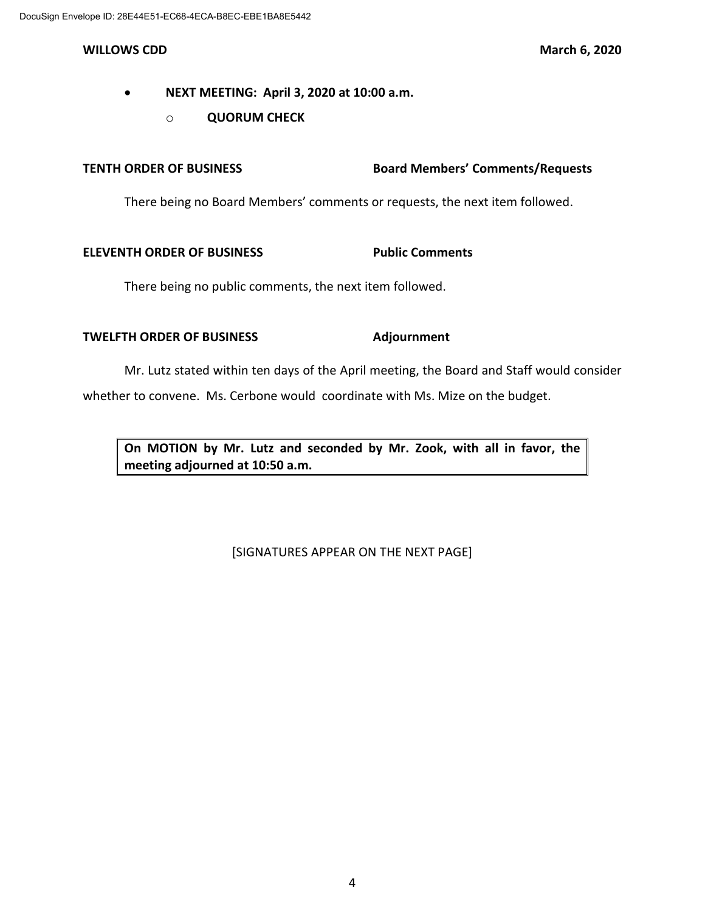- **NEXT MEETING: April 3, 2020 at 10:00 a.m.**
	- o **QUORUM CHECK**

# **TENTH ORDER OF BUSINESS Board Members' Comments/Requests**

There being no Board Members' comments or requests, the next item followed.

# **ELEVENTH ORDER OF BUSINESS** Public Comments

There being no public comments, the next item followed.

# **TWELFTH ORDER OF BUSINESS Adjournment**

Mr. Lutz stated within ten days of the April meeting, the Board and Staff would consider whether to convene. Ms. Cerbone would coordinate with Ms. Mize on the budget.

**On MOTION by Mr. Lutz and seconded by Mr. Zook, with all in favor, the meeting adjourned at 10:50 a.m.**

[SIGNATURES APPEAR ON THE NEXT PAGE]